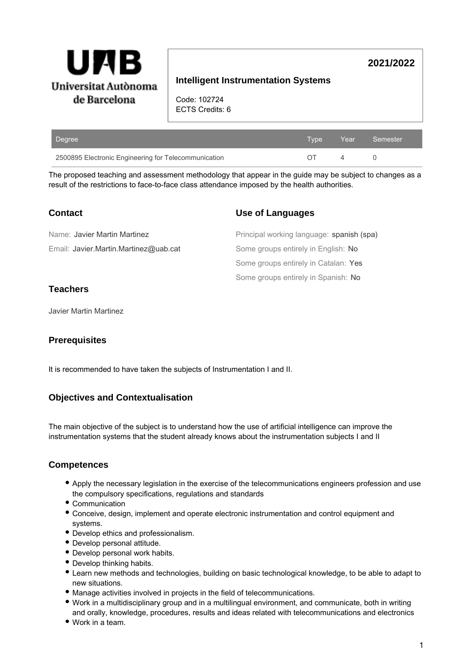

# **Intelligent Instrumentation Systems**

**2021/2022**

Code: 102724 ECTS Credits: 6

| Degree                                               |  | ا Tvpe Year Semester ا |
|------------------------------------------------------|--|------------------------|
| 2500895 Electronic Engineering for Telecommunication |  |                        |

The proposed teaching and assessment methodology that appear in the guide may be subject to changes as a result of the restrictions to face-to-face class attendance imposed by the health authorities.

| <b>Contact</b>                        | <b>Use of Languages</b>                   |
|---------------------------------------|-------------------------------------------|
| Name: Javier Martin Martinez          | Principal working language: spanish (spa) |
| Email: Javier.Martin.Martinez@uab.cat | Some groups entirely in English: No       |
|                                       | Some groups entirely in Catalan: Yes      |
|                                       | Some groups entirely in Spanish: No       |

### **Teachers**

Javier Martin Martinez

### **Prerequisites**

It is recommended to have taken the subjects of Instrumentation I and II.

### **Objectives and Contextualisation**

The main objective of the subject is to understand how the use of artificial intelligence can improve the instrumentation systems that the student already knows about the instrumentation subjects I and II

### **Competences**

- Apply the necessary legislation in the exercise of the telecommunications engineers profession and use the compulsory specifications, regulations and standards
- Communication
- Conceive, design, implement and operate electronic instrumentation and control equipment and systems.
- Develop ethics and professionalism.
- Develop personal attitude.
- Develop personal work habits.
- Develop thinking habits.
- Learn new methods and technologies, building on basic technological knowledge, to be able to adapt to new situations.
- Manage activities involved in projects in the field of telecommunications.
- Work in a multidisciplinary group and in a multilingual environment, and communicate, both in writing and orally, knowledge, procedures, results and ideas related with telecommunications and electronics
- Work in a team.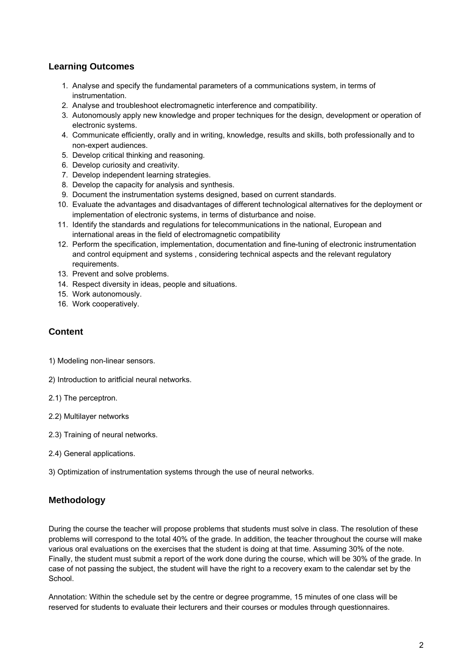# **Learning Outcomes**

- 1. Analyse and specify the fundamental parameters of a communications system, in terms of instrumentation.
- 2. Analyse and troubleshoot electromagnetic interference and compatibility.
- 3. Autonomously apply new knowledge and proper techniques for the design, development or operation of electronic systems.
- 4. Communicate efficiently, orally and in writing, knowledge, results and skills, both professionally and to non-expert audiences.
- 5. Develop critical thinking and reasoning.
- 6. Develop curiosity and creativity.
- 7. Develop independent learning strategies.
- 8. Develop the capacity for analysis and synthesis.
- 9. Document the instrumentation systems designed, based on current standards.
- 10. Evaluate the advantages and disadvantages of different technological alternatives for the deployment or implementation of electronic systems, in terms of disturbance and noise.
- 11. Identify the standards and regulations for telecommunications in the national, European and international areas in the field of electromagnetic compatibility
- 12. Perform the specification, implementation, documentation and fine-tuning of electronic instrumentation and control equipment and systems , considering technical aspects and the relevant regulatory requirements.
- 13. Prevent and solve problems.
- 14. Respect diversity in ideas, people and situations.
- 15. Work autonomously.
- 16. Work cooperatively.

### **Content**

- 1) Modeling non-linear sensors.
- 2) Introduction to aritficial neural networks.
- 2.1) The perceptron.
- 2.2) Multilayer networks
- 2.3) Training of neural networks.
- 2.4) General applications.
- 3) Optimization of instrumentation systems through the use of neural networks.

# **Methodology**

During the course the teacher will propose problems that students must solve in class. The resolution of these problems will correspond to the total 40% of the grade. In addition, the teacher throughout the course will make various oral evaluations on the exercises that the student is doing at that time. Assuming 30% of the note. Finally, the student must submit a report of the work done during the course, which will be 30% of the grade. In case of not passing the subject, the student will have the right to a recovery exam to the calendar set by the School.

Annotation: Within the schedule set by the centre or degree programme, 15 minutes of one class will be reserved for students to evaluate their lecturers and their courses or modules through questionnaires.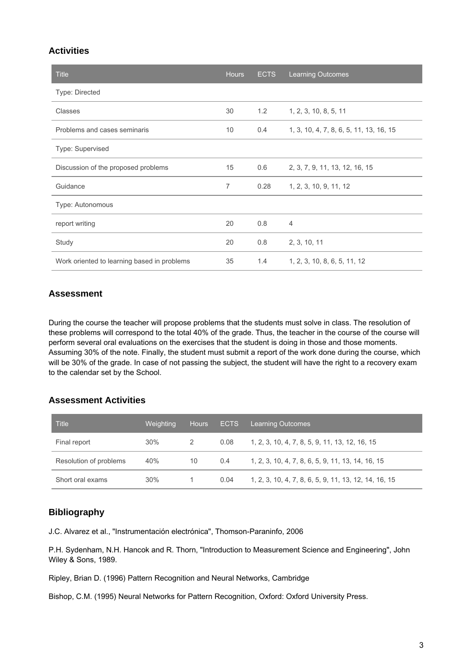### **Activities**

| <b>Title</b>                                | <b>Hours</b> | <b>ECTS</b> | <b>Learning Outcomes</b>                |
|---------------------------------------------|--------------|-------------|-----------------------------------------|
| Type: Directed                              |              |             |                                         |
| Classes                                     | 30           | 1.2         | 1, 2, 3, 10, 8, 5, 11                   |
| Problems and cases seminaris                | 10           | 0.4         | 1, 3, 10, 4, 7, 8, 6, 5, 11, 13, 16, 15 |
| Type: Supervised                            |              |             |                                         |
| Discussion of the proposed problems         | 15           | 0.6         | 2, 3, 7, 9, 11, 13, 12, 16, 15          |
| Guidance                                    | 7            | 0.28        | 1, 2, 3, 10, 9, 11, 12                  |
| Type: Autonomous                            |              |             |                                         |
| report writing                              | 20           | 0.8         | $\overline{4}$                          |
| Study                                       | 20           | 0.8         | 2, 3, 10, 11                            |
| Work oriented to learning based in problems | 35           | 1.4         | 1, 2, 3, 10, 8, 6, 5, 11, 12            |

### **Assessment**

During the course the teacher will propose problems that the students must solve in class. The resolution of these problems will correspond to the total 40% of the grade. Thus, the teacher in the course of the course will perform several oral evaluations on the exercises that the student is doing in those and those moments. Assuming 30% of the note. Finally, the student must submit a report of the work done during the course, which will be 30% of the grade. In case of not passing the subject, the student will have the right to a recovery exam to the calendar set by the School.

### **Assessment Activities**

| Title                  | Weighting | Hours | <b>ECTS</b> | <b>Learning Outcomes</b>                              |
|------------------------|-----------|-------|-------------|-------------------------------------------------------|
| Final report           | 30%       | 2     | 0.08        | 1, 2, 3, 10, 4, 7, 8, 5, 9, 11, 13, 12, 16, 15        |
| Resolution of problems | 40%       | 10    | 0.4         | 1, 2, 3, 10, 4, 7, 8, 6, 5, 9, 11, 13, 14, 16, 15     |
| Short oral exams       | 30%       |       | 0.04        | 1, 2, 3, 10, 4, 7, 8, 6, 5, 9, 11, 13, 12, 14, 16, 15 |

# **Bibliography**

J.C. Alvarez et al., "Instrumentación electrónica", Thomson-Paraninfo, 2006

P.H. Sydenham, N.H. Hancok and R. Thorn, "Introduction to Measurement Science and Engineering", John Wiley & Sons, 1989.

Ripley, Brian D. (1996) Pattern Recognition and Neural Networks, Cambridge

Bishop, C.M. (1995) Neural Networks for Pattern Recognition, Oxford: Oxford University Press.